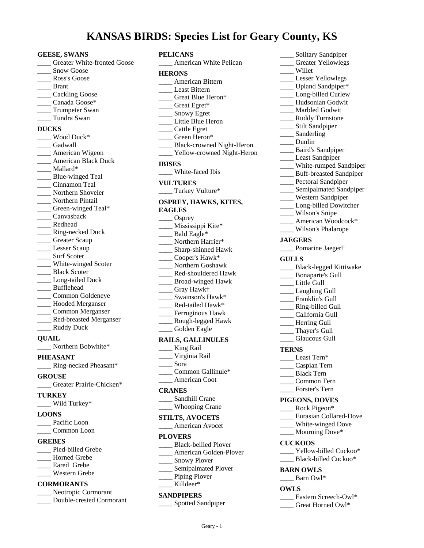# **KANSAS BIRDS: Species List for Geary County, KS**

- **GEESE, SWANS** \_\_\_\_ Greater White-fronted Goose Snow Goose Ross's Goose \_\_\_\_ Brant \_\_\_\_ Cackling Goose \_\_\_\_ Canada Goose\* \_\_\_\_ Trumpeter Swan \_\_\_\_ Tundra Swan **DUCKS** \_\_\_\_ Wood Duck\* \_\_\_\_ Gadwall \_\_\_\_ American Wigeon **\_\_\_\_** American Black Duck \_\_\_\_ Mallard\* \_\_\_\_ Blue-winged Teal \_\_\_\_ Cinnamon Teal \_\_\_\_ Northern Shoveler \_\_\_\_ Northern Pintail \_\_\_\_ Green-winged Teal\* \_\_\_\_ Canvasback \_\_\_\_ Redhead \_\_\_\_ Ring-necked Duck \_\_\_\_ Greater Scaup Lesser Scaup \_\_\_\_ Surf Scoter \_\_\_\_ White-winged Scoter \_\_\_\_ Black Scoter \_\_\_\_ Long-tailed Duck \_\_\_\_ Bufflehead \_\_\_\_ Common Goldeneye \_\_\_\_ Hooded Merganser \_\_\_\_ Common Merganser \_\_\_\_ Red-breasted Merganser \_\_\_\_ Ruddy Duck **QUAIL**
- \_\_\_\_ Northern Bobwhite\*

**PHEASANT**

- \_\_\_\_ Ring-necked Pheasant\*
- **GROUSE**

\_\_\_\_ Greater Prairie-Chicken\*

## **TURKEY**

\_\_\_\_ Wild Turkey\*

#### **LOONS**

- \_\_\_\_ Pacific Loon
- \_\_\_\_ Common Loon

## **GREBES**

Pied-billed Grebe \_\_\_\_ Horned Grebe \_\_\_\_ Eared Grebe \_\_\_\_ Western Grebe

# **CORMORANTS**

\_\_\_\_ Neotropic Cormorant \_\_\_\_ Double-crested Cormorant

#### **PELICANS** \_\_\_\_ American White Pelican

| <b>HERONS</b>                |
|------------------------------|
| __ American Bittern          |
| Least Bittern                |
| ___ Great Blue Heron*        |
|                              |
| Great Egret*<br>Snowy Egret  |
| Little Blue Heron            |
| Cattle Egret                 |
| Green Heron*                 |
| __ Black-crowned Night-Heron |
| _ Yellow-crowned Night-Heron |
| <b>IBISES</b>                |
| White-faced Ibis             |
|                              |
| <b>VULTURES</b>              |
| _Turkey Vulture*             |
| OSPREY, HAWKS, KITES,        |
| <b>EAGLES</b>                |
| ____ Osprey                  |
| Mississippi Kite*            |
| $\qquad$ Bald Eagle*         |
| ___ Northern Harrier*        |
| ____ Sharp-shinned Hawk      |
| Cooper's Hawk*               |
| Northern Goshawk             |
| Red-shouldered Hawk          |
| Broad-winged Hawk            |
| Gray Hawk†                   |
| __ Swainson's Hawk*          |
| __ Red-tailed Hawk*          |
| ___ Ferruginous Hawk         |
| ___ Rough-legged Hawk        |
| Golden Eagle                 |
| <b>RAILS, GALLINULES</b>     |
| King Rail                    |
| Virginia Rail                |
| Sora                         |
| ___ Common Gallinule*        |
| American Coot                |
|                              |
| <b>CRANES</b>                |
| Sandhill Crane               |
| <b>Whooping Crane</b>        |
| <b>STILTS, AVOCETS</b>       |
| American Avocet              |
| <b>PLOVERS</b>               |
| <b>Black-bellied Plover</b>  |
| American Golden-Plover       |
| Snowy Plover                 |
| Semipalmated Plover          |
| Piping Plover                |
| Killdeer*                    |
|                              |
| <b>SANDPIPERS</b>            |
| <b>Spotted Sandpiper</b>     |

| Solitary Sandpiper                           |
|----------------------------------------------|
| Greater Yellowlegs                           |
| Willet                                       |
| __ Lesser Yellowlegs                         |
| _Upland Sandpiper*                           |
| Long-billed Curlew                           |
| -Hudsonian Godwit<br>_Marbled Godwit         |
|                                              |
| <b>Ruddy Turnstone</b><br>__ Stilt Sandpiper |
| __ Sanderling                                |
| __ Dunlin                                    |
| __ Baird's Sandpiper                         |
| Least Sandpiper                              |
| ___ White-rumped Sandpiper                   |
| _ Buff-breasted Sandpiper                    |
| _ Pectoral Sandpiper                         |
| Semipalmated Sandpiper                       |
| Western Sandpiper                            |
| Long-billed Dowitcher                        |
| Wilson's Snipe                               |
| American Woodcock*                           |
| Wilson's Phalarope                           |
| <b>JAEGERS</b>                               |
| __ Pomarine Jaeger†                          |
| <b>GULLS</b>                                 |
| __ Black-legged Kittiwake                    |
| Bonaparte's Gull                             |
| Little Gull                                  |
| Laughing Gull                                |
| Franklin's Gull                              |
| __ Ring-billed Gull                          |
| California Gull                              |
| Herring Gull                                 |
| Thayer's Gull                                |
| <b>Glaucous Gull</b>                         |
| <b>TERNS</b>                                 |
| Least Tern*                                  |
| Caspian Tern                                 |
| Black Tern                                   |
| Common Tern                                  |
| Forster's Tern                               |
| PIGEONS, DOVES                               |
| Rock Pigeon*                                 |
| Eurasian Collared-Dove                       |
| White-winged Dove                            |
| Mourning Dove*                               |
| <b>CUCKOOS</b>                               |
| Yellow-billed Cuckoo*                        |
| Black-billed Cuckoo*                         |
| <b>BARN OWLS</b>                             |
| Barn Owl*                                    |
|                                              |
| <b>OWLS</b>                                  |
| __ Eastern Screech-Owl*                      |
| Great Horned Owl*                            |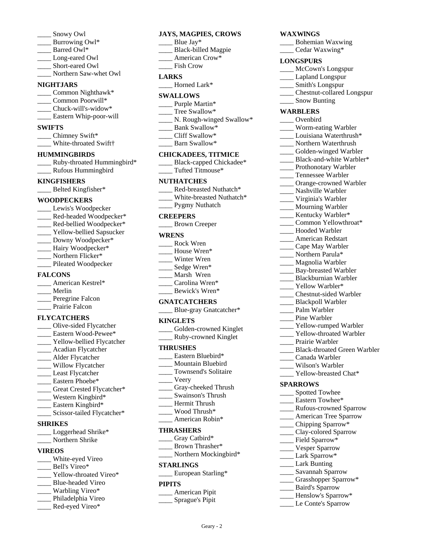- Snowy Owl
- Burrowing Owl\*
- Barred Owl\*
- Long-eared Owl
- Short-eared Owl
- \_\_\_\_ Northern Saw-whet Owl

## **NIGHTJARS**

- Common Nighthawk\*
- Common Poorwill\*
- Chuck-will's-widow\*
- \_\_\_\_ Eastern Whip-poor-will

#### **SWIFTS**

- \_\_\_\_ Chimney Swift\*
- \_\_\_\_ White-throated Swift†

#### **HUMMINGBIRDS**

\_\_\_\_ Ruby-throated Hummingbird\* \_\_\_\_ Rufous Hummingbird

# **KINGFISHERS**

\_\_\_\_ Belted Kingfisher\*

#### **WOODPECKERS**

- \_\_\_\_ Lewis's Woodpecker \_\_\_\_ Red-headed Woodpecker\* \_\_\_\_ Red-bellied Woodpecker\*
- \_\_\_\_ Yellow-bellied Sapsucker \_\_\_\_ Downy Woodpecker\*
- \_\_\_\_ Hairy Woodpecker\*
- \_\_\_\_ Northern Flicker\*
- \_\_\_\_ Pileated Woodpecker

## **FALCONS**

| American Kestrel* |
|-------------------|
| Merlin            |
| Peregrine Falcon  |
| Prairie Falcon    |

## **FLYCATCHERS**

- \_\_\_\_ Olive-sided Flycatcher Eastern Wood-Pewee\* \_\_\_\_ Yellow-bellied Flycatcher \_\_\_\_ Acadian Flycatcher \_\_\_\_ Alder Flycatcher \_\_\_\_ Willow Flycatcher \_\_\_\_ Least Flycatcher
- Eastern Phoebe\*
- Great Crested Flycatcher\*
- \_\_\_\_ Western Kingbird\*
- Eastern Kingbird\*
- \_\_\_\_ Scissor-tailed Flycatcher\*

## **SHRIKES**

- \_\_\_\_ Loggerhead Shrike\*
- \_\_\_\_ Northern Shrike

## **VIREOS**

- \_\_\_\_ White-eyed Vireo
- Bell's Vireo\*
- Yellow-throated Vireo\*
- \_\_\_\_ Blue-headed Vireo Warbling Vireo\*
- Philadelphia Vireo
- \_\_\_\_ Red-eyed Vireo\*

## **JAYS, MAGPIES, CROWS**

- Blue Jay\*
- \_\_\_\_ Black-billed Magpie
- American Crow\*
- \_\_\_\_ Fish Crow

## **LARKS**

\_\_\_\_ Horned Lark\*

### **SWALLOWS**

- Purple Martin\*
- \_\_\_\_ Tree Swallow\*
- N. Rough-winged Swallow\*
- Bank Swallow\*
- \_\_\_\_ Cliff Swallow\*
- \_\_\_\_ Barn Swallow\*

#### **CHICKADEES, TITMICE**

| Black-capped Chickadee* |
|-------------------------|
| Tufted Titmouse*        |

#### **NUTHATCHES**

- Red-breasted Nuthatch\*
- \_\_\_\_ White-breasted Nuthatch\*
- \_\_\_\_ Pygmy Nuthatch

#### **CREEPERS**

\_\_\_\_ Brown Creeper

#### **WRENS**

| Rock Wren      |
|----------------|
| House Wren*    |
| Winter Wren    |
| Sedge Wren*    |
| Marsh Wren     |
| Carolina Wren* |
| Bewick's Wren* |

#### **GNATCATCHERS**

| Blue-gray Gnatcatcher* |  |
|------------------------|--|
|------------------------|--|

#### **KINGLETS**

| Golden-crowned Kinglet |
|------------------------|
| Ruby-crowned Kinglet   |

#### **THRUSHES**

- Eastern Bluebird\*
- \_\_\_\_ Mountain Bluebird
- \_\_\_\_ Townsend's Solitaire
- \_\_\_\_ Veery
- \_\_\_\_ Gray-cheeked Thrush
- \_\_\_\_ Swainson's Thrush
- \_\_\_\_ Hermit Thrush \_\_\_\_ Wood Thrush\*
- American Robin\*

#### **THRASHERS**

\_\_\_\_ Gray Catbird\* \_\_\_\_ Brown Thrasher\* \_\_\_\_ Northern Mockingbird\* **STARLINGS** \_\_\_\_ European Starling\*

## **PIPITS**

- \_\_\_\_ American Pipit
	- \_\_\_\_ Sprague's Pipit

Geary - 2

## **WAXWlNGS**

- \_\_\_\_ Bohemian Waxwing
- \_\_\_\_ Cedar Waxwing\*

## **LONGSPURS**

- \_\_\_\_ McCown's Longspur
- \_\_\_\_ Lapland Longspur
- \_\_\_\_ Smith's Longspur
- \_\_\_\_ Chestnut-collared Longspur
- \_\_\_\_ Snow Bunting

## **WARBLERS**

- \_\_\_\_ Ovenbird
- \_\_\_\_ Worm-eating Warbler
- Louisiana Waterthrush\*
- \_\_\_\_ Northern Waterthrush
- \_\_\_\_ Golden-winged Warbler Black-and-white Warbler\*

\_\_\_\_ Prothonotary Warbler \_\_\_\_ Tennessee Warbler \_\_\_\_ Orange-crowned Warbler \_\_\_\_ Nashville Warbler \_\_\_\_ Virginia's Warbler \_\_\_\_ Mourning Warbler Kentucky Warbler\* Common Yellowthroat\* Hooded Warbler \_\_\_\_ American Redstart \_\_\_\_ Cape May Warbler \_\_\_\_ Northern Parula\* \_\_\_\_ Magnolia Warbler \_\_\_\_ Bay-breasted Warbler \_\_\_\_ Blackburnian Warbler \_\_\_\_ Yellow Warbler\* \_\_\_\_ Chestnut-sided Warbler \_\_\_\_ Blackpoll Warbler Palm Warbler Pine Warbler

\_\_\_\_ Yellow-rumped Warbler Yellow-throated Warbler

\_\_\_\_ Black-throated Green Warbler

Prairie Warbler

**SPARROWS**

\_\_\_\_ Canada Warbler \_\_\_\_ Wilson's Warbler Yellow-breasted Chat\*

\_\_\_\_ Spotted Towhee \_\_\_\_ Eastern Towhee\*

\_\_\_\_ Chipping Sparrow\* \_\_\_\_ Clay-colored Sparrow Field Sparrow\* \_\_\_\_ Vesper Sparrow \_\_\_\_ Lark Sparrow\* Lark Bunting \_\_\_\_ Savannah Sparrow \_\_\_\_ Grasshopper Sparrow\* \_\_\_\_ Baird's Sparrow \_\_\_\_ Henslow's Sparrow\* \_\_\_\_ Le Conte's Sparrow

\_\_\_\_ Rufous-crowned Sparrow \_\_\_\_ American Tree Sparrow